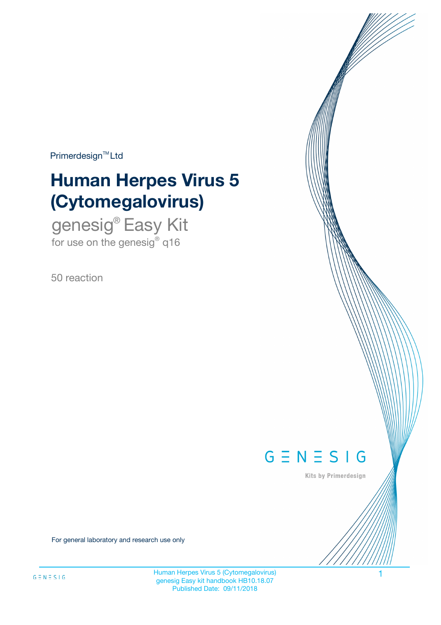$Primerdesign^{\text{TM}}Ltd$ 

# **Human Herpes Virus 5 (Cytomegalovirus)**

genesig® Easy Kit for use on the genesig $^{\circ}$  q16

50 reaction



Kits by Primerdesign

For general laboratory and research use only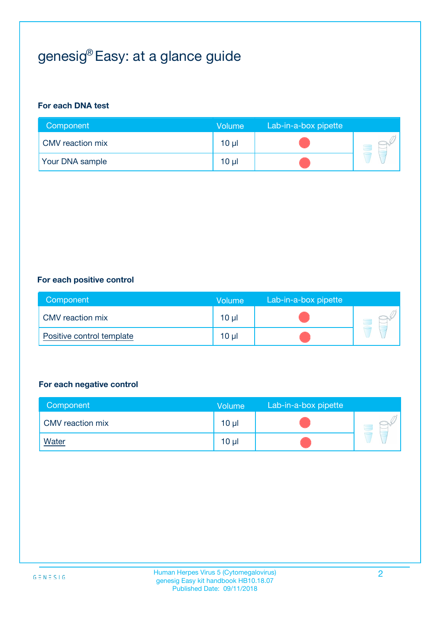## genesig® Easy: at a glance guide

#### **For each DNA test**

| Component              | <b>Volume</b>   | Lab-in-a-box pipette |  |
|------------------------|-----------------|----------------------|--|
| CMV reaction mix       | 10 µl           |                      |  |
| <b>Your DNA sample</b> | 10 <sub>µ</sub> |                      |  |

#### **For each positive control**

| Component                 | Volume          | Lab-in-a-box pipette |  |
|---------------------------|-----------------|----------------------|--|
| <b>CMV</b> reaction mix   | 10 <sub>µ</sub> |                      |  |
| Positive control template | $10 \mu$        |                      |  |

#### **For each negative control**

| Component        | Volume          | Lab-in-a-box pipette |  |
|------------------|-----------------|----------------------|--|
| CMV reaction mix | 10 <sub>µ</sub> |                      |  |
| <b>Water</b>     | 10 <sub>µ</sub> |                      |  |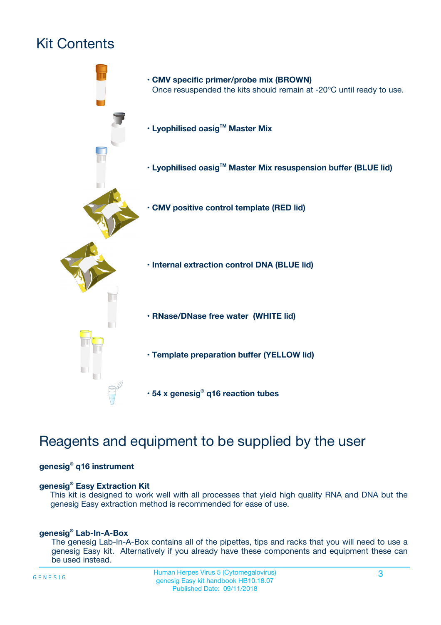## Kit Contents



### Reagents and equipment to be supplied by the user

#### **genesig® q16 instrument**

#### **genesig® Easy Extraction Kit**

This kit is designed to work well with all processes that yield high quality RNA and DNA but the genesig Easy extraction method is recommended for ease of use.

#### **genesig® Lab-In-A-Box**

The genesig Lab-In-A-Box contains all of the pipettes, tips and racks that you will need to use a genesig Easy kit. Alternatively if you already have these components and equipment these can be used instead.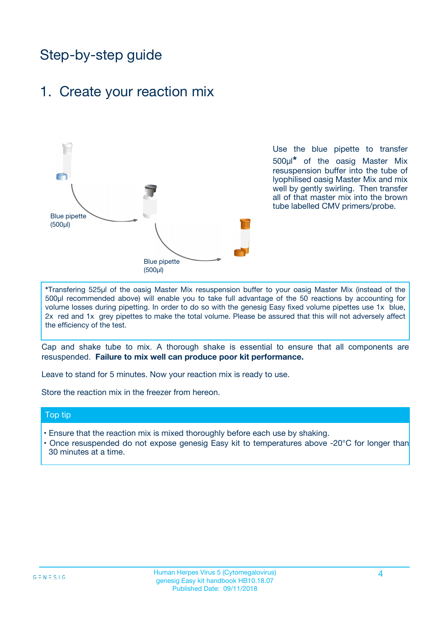### Step-by-step guide

### 1. Create your reaction mix



Use the blue pipette to transfer 500µl**\*** of the oasig Master Mix resuspension buffer into the tube of lyophilised oasig Master Mix and mix well by gently swirling. Then transfer all of that master mix into the brown tube labelled CMV primers/probe.

**\***Transfering 525µl of the oasig Master Mix resuspension buffer to your oasig Master Mix (instead of the 500µl recommended above) will enable you to take full advantage of the 50 reactions by accounting for volume losses during pipetting. In order to do so with the genesig Easy fixed volume pipettes use 1x blue, 2x red and 1x grey pipettes to make the total volume. Please be assured that this will not adversely affect the efficiency of the test.

Cap and shake tube to mix. A thorough shake is essential to ensure that all components are resuspended. **Failure to mix well can produce poor kit performance.**

Leave to stand for 5 minutes. Now your reaction mix is ready to use.

Store the reaction mix in the freezer from hereon.

#### Top tip

- Ensure that the reaction mix is mixed thoroughly before each use by shaking.
- **•** Once resuspended do not expose genesig Easy kit to temperatures above -20°C for longer than 30 minutes at a time.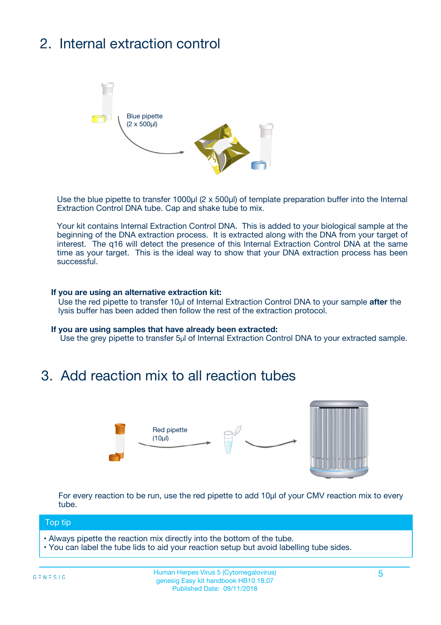## 2. Internal extraction control



Use the blue pipette to transfer 1000µl (2 x 500µl) of template preparation buffer into the Internal Extraction Control DNA tube. Cap and shake tube to mix.

Your kit contains Internal Extraction Control DNA. This is added to your biological sample at the beginning of the DNA extraction process. It is extracted along with the DNA from your target of interest. The q16 will detect the presence of this Internal Extraction Control DNA at the same time as your target. This is the ideal way to show that your DNA extraction process has been successful.

#### **If you are using an alternative extraction kit:**

Use the red pipette to transfer 10µl of Internal Extraction Control DNA to your sample **after** the lysis buffer has been added then follow the rest of the extraction protocol.

#### **If you are using samples that have already been extracted:**

Use the grey pipette to transfer 5µl of Internal Extraction Control DNA to your extracted sample.

### 3. Add reaction mix to all reaction tubes



For every reaction to be run, use the red pipette to add 10µl of your CMV reaction mix to every tube.

#### Top tip

- Always pipette the reaction mix directly into the bottom of the tube.
- You can label the tube lids to aid your reaction setup but avoid labelling tube sides.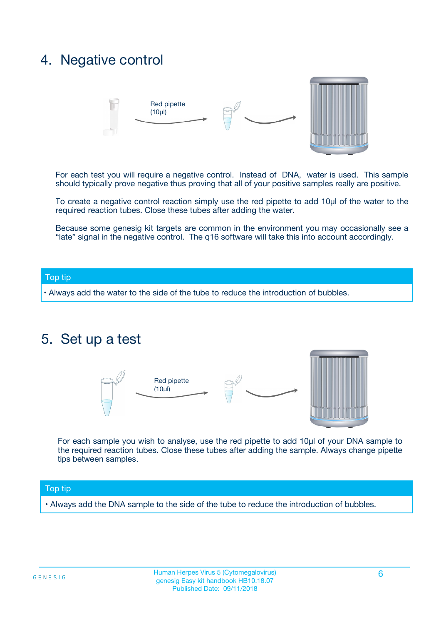### 4. Negative control



For each test you will require a negative control. Instead of DNA, water is used. This sample should typically prove negative thus proving that all of your positive samples really are positive.

To create a negative control reaction simply use the red pipette to add 10µl of the water to the required reaction tubes. Close these tubes after adding the water.

Because some genesig kit targets are common in the environment you may occasionally see a "late" signal in the negative control. The q16 software will take this into account accordingly.

#### Top tip

**•** Always add the water to the side of the tube to reduce the introduction of bubbles.

### 5. Set up a test



For each sample you wish to analyse, use the red pipette to add 10µl of your DNA sample to the required reaction tubes. Close these tubes after adding the sample. Always change pipette tips between samples.

#### Top tip

**•** Always add the DNA sample to the side of the tube to reduce the introduction of bubbles.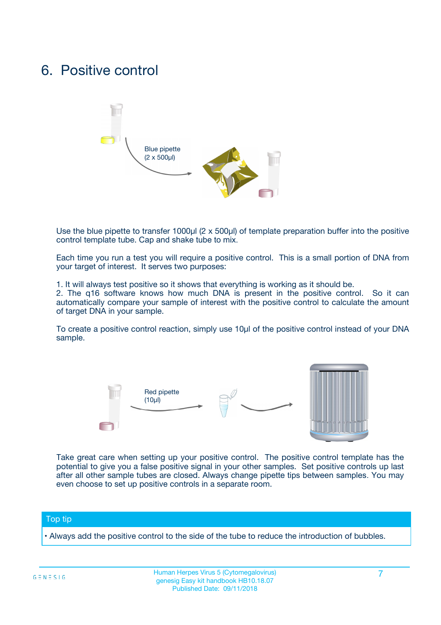### 6. Positive control



Use the blue pipette to transfer 1000µl (2 x 500µl) of template preparation buffer into the positive control template tube. Cap and shake tube to mix.

Each time you run a test you will require a positive control. This is a small portion of DNA from your target of interest. It serves two purposes:

1. It will always test positive so it shows that everything is working as it should be.

2. The q16 software knows how much DNA is present in the positive control. So it can automatically compare your sample of interest with the positive control to calculate the amount of target DNA in your sample.

To create a positive control reaction, simply use 10µl of the positive control instead of your DNA sample.



Take great care when setting up your positive control. The positive control template has the potential to give you a false positive signal in your other samples. Set positive controls up last after all other sample tubes are closed. Always change pipette tips between samples. You may even choose to set up positive controls in a separate room.

#### Top tip

**•** Always add the positive control to the side of the tube to reduce the introduction of bubbles.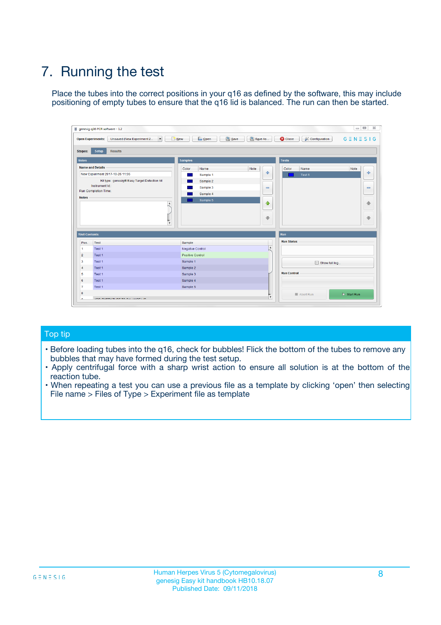## 7. Running the test

Place the tubes into the correct positions in your q16 as defined by the software, this may include positioning of empty tubes to ensure that the q16 lid is balanced. The run can then be started.

| genesig q16 PCR software - 1.2                                               |                                     | $\Box$                                                                                  |
|------------------------------------------------------------------------------|-------------------------------------|-----------------------------------------------------------------------------------------|
| Unsaved (New Experiment 2<br>$\vert \cdot \vert$<br><b>Open Experiments:</b> | <b>D</b> Open<br>Save<br>$\Box$ New | Save As<br><b>C</b> Close<br>$G \equiv N \equiv S \mid G$<br><b>&amp; Configuration</b> |
| Setup<br><b>Results</b><br><b>Stages:</b>                                    |                                     |                                                                                         |
| <b>Notes</b>                                                                 | Samples                             | <b>Tests</b>                                                                            |
| <b>Name and Details</b>                                                      | Color<br>Name                       | Note<br>Color<br>Note<br>Name                                                           |
| New Experiment 2017-10-26 11:06                                              | Sample 1                            | ع<br>条<br>Test 1                                                                        |
| Kit type: genesig® Easy Target Detection kit                                 | Sample 2                            |                                                                                         |
| Instrument Id.:                                                              | Sample 3                            | $\qquad \qquad \blacksquare$<br>$\qquad \qquad \blacksquare$                            |
| Run Completion Time:                                                         | Sample 4                            |                                                                                         |
| <b>Notes</b>                                                                 | Sample 5<br>A<br>v                  | $\triangle$<br>4<br>$\oplus$<br>₩                                                       |
| <b>Well Contents</b>                                                         |                                     | <b>Run</b>                                                                              |
| Pos.<br>Test                                                                 | Sample                              | <b>Run Status</b>                                                                       |
| Test 1<br>-1                                                                 | <b>Negative Control</b>             | $\blacktriangle$                                                                        |
| $\overline{2}$<br>Test 1                                                     | <b>Positive Control</b>             |                                                                                         |
| $\overline{\mathbf{3}}$<br>Test 1                                            | Sample 1                            | Show full log                                                                           |
| Test 1<br>$\overline{4}$                                                     | Sample 2                            |                                                                                         |
| 5<br>Test 1                                                                  | Sample 3                            | <b>Run Control</b>                                                                      |
| 6<br>Test 1                                                                  | Sample 4                            |                                                                                         |
| $\overline{7}$<br>Test 1                                                     | Sample 5                            |                                                                                         |
| 8                                                                            |                                     | $\triangleright$ Start Run<br>Abort Run                                                 |
| <b>JOD FURTY TUDE TO BUILDED IN</b>                                          |                                     | $\overline{\mathbf{v}}$                                                                 |

#### Top tip

- Before loading tubes into the q16, check for bubbles! Flick the bottom of the tubes to remove any bubbles that may have formed during the test setup.
- Apply centrifugal force with a sharp wrist action to ensure all solution is at the bottom of the reaction tube.
- When repeating a test you can use a previous file as a template by clicking 'open' then selecting File name > Files of Type > Experiment file as template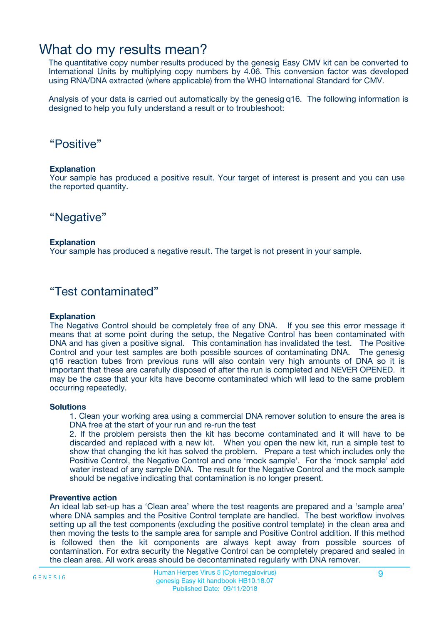### What do my results mean?

The quantitative copy number results produced by the genesig Easy CMV kit can be converted to International Units by multiplying copy numbers by 4.06. This conversion factor was developed using RNA/DNA extracted (where applicable) from the WHO International Standard for CMV.

Analysis of your data is carried out automatically by the genesig q16. The following information is designed to help you fully understand a result or to troubleshoot:

### "Positive"

#### **Explanation**

Your sample has produced a positive result. Your target of interest is present and you can use the reported quantity.

"Negative"

#### **Explanation**

Your sample has produced a negative result. The target is not present in your sample.

### "Test contaminated"

#### **Explanation**

The Negative Control should be completely free of any DNA. If you see this error message it means that at some point during the setup, the Negative Control has been contaminated with DNA and has given a positive signal. This contamination has invalidated the test. The Positive Control and your test samples are both possible sources of contaminating DNA. The genesig q16 reaction tubes from previous runs will also contain very high amounts of DNA so it is important that these are carefully disposed of after the run is completed and NEVER OPENED. It may be the case that your kits have become contaminated which will lead to the same problem occurring repeatedly.

#### **Solutions**

1. Clean your working area using a commercial DNA remover solution to ensure the area is DNA free at the start of your run and re-run the test

2. If the problem persists then the kit has become contaminated and it will have to be discarded and replaced with a new kit. When you open the new kit, run a simple test to show that changing the kit has solved the problem. Prepare a test which includes only the Positive Control, the Negative Control and one 'mock sample'. For the 'mock sample' add water instead of any sample DNA. The result for the Negative Control and the mock sample should be negative indicating that contamination is no longer present.

#### **Preventive action**

An ideal lab set-up has a 'Clean area' where the test reagents are prepared and a 'sample area' where DNA samples and the Positive Control template are handled. The best workflow involves setting up all the test components (excluding the positive control template) in the clean area and then moving the tests to the sample area for sample and Positive Control addition. If this method is followed then the kit components are always kept away from possible sources of contamination. For extra security the Negative Control can be completely prepared and sealed in the clean area. All work areas should be decontaminated regularly with DNA remover.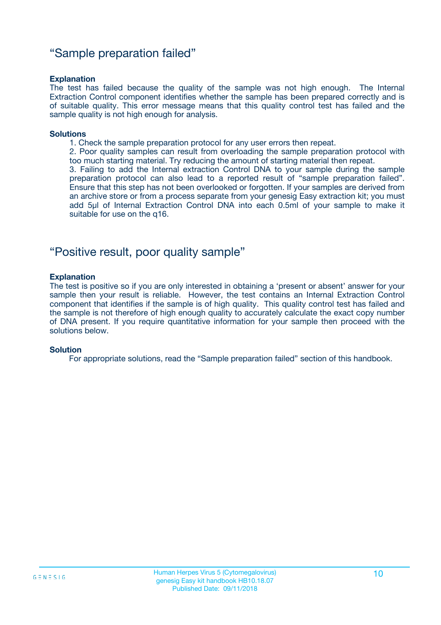### "Sample preparation failed"

#### **Explanation**

The test has failed because the quality of the sample was not high enough. The Internal Extraction Control component identifies whether the sample has been prepared correctly and is of suitable quality. This error message means that this quality control test has failed and the sample quality is not high enough for analysis.

#### **Solutions**

1. Check the sample preparation protocol for any user errors then repeat.

2. Poor quality samples can result from overloading the sample preparation protocol with too much starting material. Try reducing the amount of starting material then repeat.

3. Failing to add the Internal extraction Control DNA to your sample during the sample preparation protocol can also lead to a reported result of "sample preparation failed". Ensure that this step has not been overlooked or forgotten. If your samples are derived from an archive store or from a process separate from your genesig Easy extraction kit; you must add 5µl of Internal Extraction Control DNA into each 0.5ml of your sample to make it suitable for use on the q16.

### "Positive result, poor quality sample"

#### **Explanation**

The test is positive so if you are only interested in obtaining a 'present or absent' answer for your sample then your result is reliable. However, the test contains an Internal Extraction Control component that identifies if the sample is of high quality. This quality control test has failed and the sample is not therefore of high enough quality to accurately calculate the exact copy number of DNA present. If you require quantitative information for your sample then proceed with the solutions below.

#### **Solution**

For appropriate solutions, read the "Sample preparation failed" section of this handbook.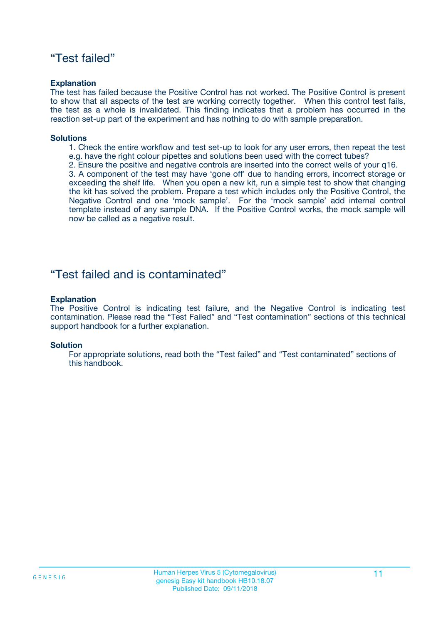### "Test failed"

#### **Explanation**

The test has failed because the Positive Control has not worked. The Positive Control is present to show that all aspects of the test are working correctly together. When this control test fails, the test as a whole is invalidated. This finding indicates that a problem has occurred in the reaction set-up part of the experiment and has nothing to do with sample preparation.

#### **Solutions**

- 1. Check the entire workflow and test set-up to look for any user errors, then repeat the test e.g. have the right colour pipettes and solutions been used with the correct tubes?
- 2. Ensure the positive and negative controls are inserted into the correct wells of your q16.

3. A component of the test may have 'gone off' due to handing errors, incorrect storage or exceeding the shelf life. When you open a new kit, run a simple test to show that changing the kit has solved the problem. Prepare a test which includes only the Positive Control, the Negative Control and one 'mock sample'. For the 'mock sample' add internal control template instead of any sample DNA. If the Positive Control works, the mock sample will now be called as a negative result.

### "Test failed and is contaminated"

#### **Explanation**

The Positive Control is indicating test failure, and the Negative Control is indicating test contamination. Please read the "Test Failed" and "Test contamination" sections of this technical support handbook for a further explanation.

#### **Solution**

For appropriate solutions, read both the "Test failed" and "Test contaminated" sections of this handbook.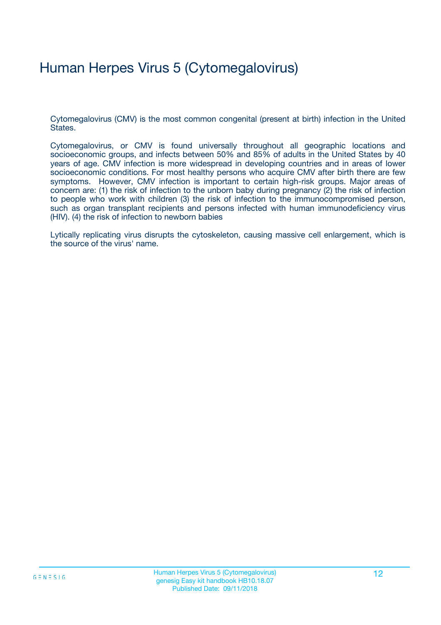## Human Herpes Virus 5 (Cytomegalovirus)

Cytomegalovirus (CMV) is the most common congenital (present at birth) infection in the United States.

Cytomegalovirus, or CMV is found universally throughout all geographic locations and socioeconomic groups, and infects between 50% and 85% of adults in the United States by 40 years of age. CMV infection is more widespread in developing countries and in areas of lower socioeconomic conditions. For most healthy persons who acquire CMV after birth there are few symptoms. However, CMV infection is important to certain high-risk groups. Major areas of concern are: (1) the risk of infection to the unborn baby during pregnancy (2) the risk of infection to people who work with children (3) the risk of infection to the immunocompromised person, such as organ transplant recipients and persons infected with human immunodeficiency virus (HIV). (4) the risk of infection to newborn babies

Lytically replicating virus disrupts the cytoskeleton, causing massive cell enlargement, which is the source of the virus' name.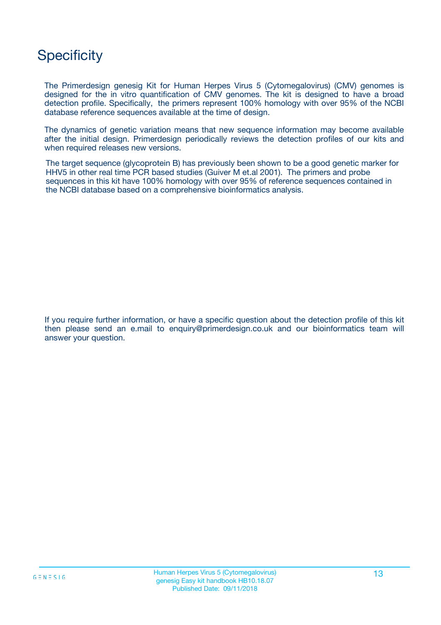### **Specificity**

The Primerdesign genesig Kit for Human Herpes Virus 5 (Cytomegalovirus) (CMV) genomes is designed for the in vitro quantification of CMV genomes. The kit is designed to have a broad detection profile. Specifically, the primers represent 100% homology with over 95% of the NCBI database reference sequences available at the time of design.

The dynamics of genetic variation means that new sequence information may become available after the initial design. Primerdesign periodically reviews the detection profiles of our kits and when required releases new versions.

The target sequence (glycoprotein B) has previously been shown to be a good genetic marker for HHV5 in other real time PCR based studies (Guiver M et.al 2001). The primers and probe sequences in this kit have 100% homology with over 95% of reference sequences contained in the NCBI database based on a comprehensive bioinformatics analysis.

If you require further information, or have a specific question about the detection profile of this kit then please send an e.mail to enquiry@primerdesign.co.uk and our bioinformatics team will answer your question.